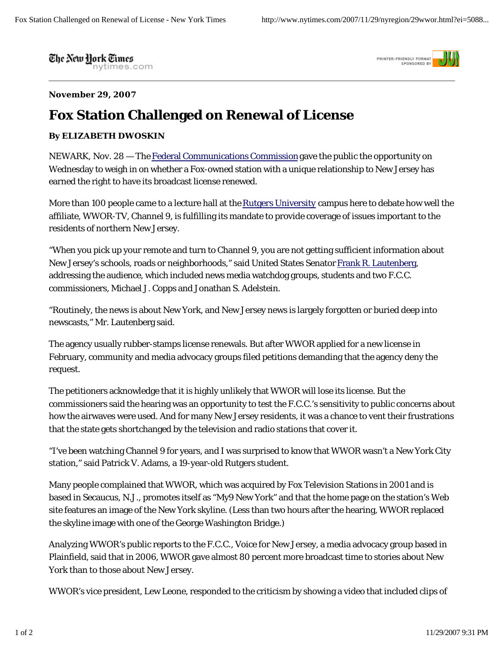The New Hork Times nytimes.com



**November 29, 2007**

## **Fox Station Challenged on Renewal of License**

## **By ELIZABETH DWOSKIN**

NEWARK, Nov. 28 — The Federal Communications Commission gave the public the opportunity on Wednesday to weigh in on whether a Fox-owned station with a unique relationship to New Jersey has earned the right to have its broadcast license renewed.

More than 100 people came to a lecture hall at the Rutgers University campus here to debate how well the affiliate, WWOR-TV, Channel 9, is fulfilling its mandate to provide coverage of issues important to the residents of northern New Jersey.

"When you pick up your remote and turn to Channel 9, you are not getting sufficient information about New Jersey's schools, roads or neighborhoods," said United States Senator Frank R. Lautenberg, addressing the audience, which included news media watchdog groups, students and two F.C.C. commissioners, Michael J. Copps and Jonathan S. Adelstein.

"Routinely, the news is about New York, and New Jersey news is largely forgotten or buried deep into newscasts," Mr. Lautenberg said.

The agency usually rubber-stamps license renewals. But after WWOR applied for a new license in February, community and media advocacy groups filed petitions demanding that the agency deny the request.

The petitioners acknowledge that it is highly unlikely that WWOR will lose its license. But the commissioners said the hearing was an opportunity to test the F.C.C.'s sensitivity to public concerns about how the airwaves were used. And for many New Jersey residents, it was a chance to vent their frustrations that the state gets shortchanged by the television and radio stations that cover it.

"I've been watching Channel 9 for years, and I was surprised to know that WWOR wasn't a New York City station," said Patrick V. Adams, a 19-year-old Rutgers student.

Many people complained that WWOR, which was acquired by Fox Television Stations in 2001 and is based in Secaucus, N.J., promotes itself as "My9 New York" and that the home page on the station's Web site features an image of the New York skyline. (Less than two hours after the hearing, WWOR replaced the skyline image with one of the George Washington Bridge.)

Analyzing WWOR's public reports to the F.C.C., Voice for New Jersey, a media advocacy group based in Plainfield, said that in 2006, WWOR gave almost 80 percent more broadcast time to stories about New York than to those about New Jersey.

WWOR's vice president, Lew Leone, responded to the criticism by showing a video that included clips of